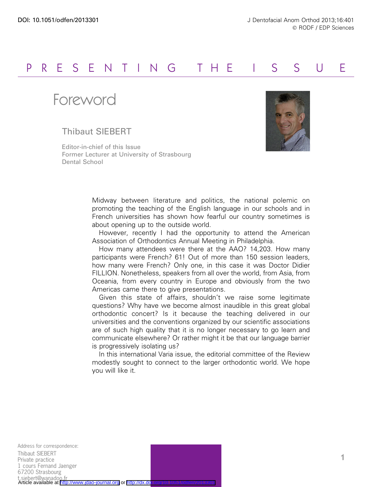## P R E S E N T I N G THE I S S U E

Foreword

## Thibaut SIEBERT

Editor-in-chief of this Issue Former Lecturer at University of Strasbourg Dental School



Midway between literature and politics, the national polemic on promoting the teaching of the English language in our schools and in French universities has shown how fearful our country sometimes is about opening up to the outside world.

However, recently I had the opportunity to attend the American Association of Orthodontics Annual Meeting in Philadelphia.

How many attendees were there at the AAO? 14,203. How many participants were French? 61! Out of more than 150 session leaders, how many were French? Only one, in this case it was Doctor Didier FILLION. Nonetheless, speakers from all over the world, from Asia, from Oceania, from every country in Europe and obviously from the two Americas came there to give presentations.

Given this state of affairs, shouldn't we raise some legitimate questions? Why have we become almost inaudible in this great global orthodontic concert? Is it because the teaching delivered in our universities and the conventions organized by our scientific associations are of such high quality that it is no longer necessary to go learn and communicate elsewhere? Or rather might it be that our language barrier is progressively isolating us?

In this international Varia issue, the editorial committee of the Review modestly sought to connect to the larger orthodontic world. We hope you will like it.